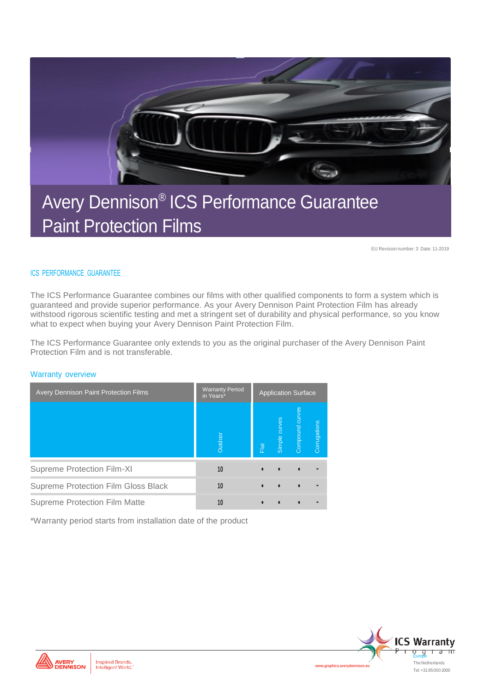

### Avery Dennison® ICS Performance Guarantee Paint Protection Films

EU Revision number: 3 Date: 11-2019

#### ICS PERFORMANCE GUARANTEE

The ICS Performance Guarantee combines our films with other qualified components to form a system which is guaranteed and provide superior performance. As your Avery Dennison Paint Protection Film has already withstood rigorous scientific testing and met a stringent set of durability and physical performance, so you know what to expect when buying your Avery Dennison Paint Protection Film.

The ICS Performance Guarantee only extends to you as the original purchaser of the Avery Dennison Paint Protection Film and is not transferable.

#### Warranty overview

| <b>Avery Dennison Paint Protection Films</b> | <b>Warranty Period</b><br>in Years* | <b>Application Surface</b> |               |                 |              |
|----------------------------------------------|-------------------------------------|----------------------------|---------------|-----------------|--------------|
|                                              | Outdoor                             | Flat                       | Simple curves | Compound curves | Corrugations |
| Supreme Protection Film-XI                   | 10                                  | $\bullet$                  |               |                 |              |
| Supreme Protection Film Gloss Black          | 10                                  | $\bullet$                  |               |                 |              |
| Supreme Protection Film Matte                | 10                                  |                            |               |                 |              |

\*Warranty period starts from installation date of the product





www.graphics.averyden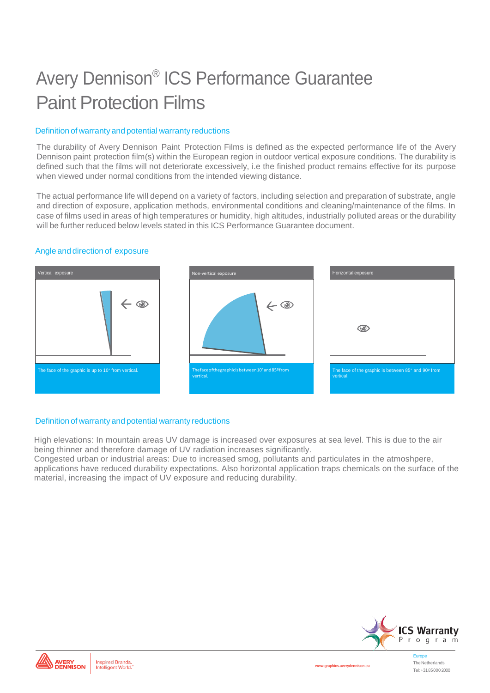# Avery Dennison® ICS Performance Guarantee Paint Protection Films

#### Definition of warranty and potential warranty reductions

The durability of Avery Dennison Paint Protection Films is defined as the expected performance life of the Avery Dennison paint protection film(s) within the European region in outdoor vertical exposure conditions. The durability is defined such that the films will not deteriorate excessively, i.e the finished product remains effective for its purpose when viewed under normal conditions from the intended viewing distance.

The actual performance life will depend on a variety of factors, including selection and preparation of substrate, angle and direction of exposure, application methods, environmental conditions and cleaning/maintenance of the films. In case of films used in areas of high temperatures or humidity, high altitudes, industrially polluted areas or the durability will be further reduced below levels stated in this ICS Performance Guarantee document.

#### Angle and direction of exposure



#### Definition of warranty and potential warranty reductions

High elevations: In mountain areas UV damage is increased over exposures at sea level. This is due to the air being thinner and therefore damage of UV radiation increases significantly.

Congested urban or industrial areas: Due to increased smog, pollutants and particulates in the atmoshpere, applications have reduced durability expectations. Also horizontal application traps chemicals on the surface of the material, increasing the impact of UV exposure and reducing durability.



The Netherlands Tel:+3185000 2000



**[www.graphics.averydennison.eu](http://www.graphics.averydennison.eu/)**